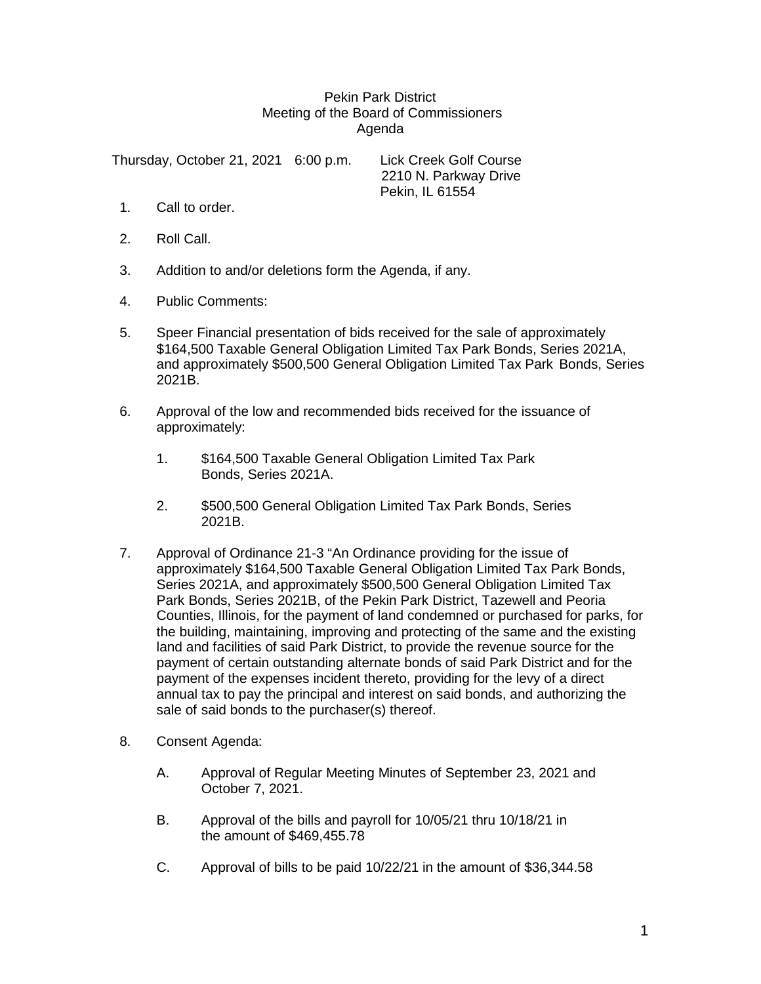## Pekin Park District Meeting of the Board of Commissioners Agenda

Thursday, October 21, 2021 6:00 p.m. Lick Creek Golf Course 2210 N. Parkway Drive Pekin, IL 61554

- 1. Call to order.
- 2. Roll Call.
- 3. Addition to and/or deletions form the Agenda, if any.
- 4. Public Comments:
- 5. Speer Financial presentation of bids received for the sale of approximately \$164,500 Taxable General Obligation Limited Tax Park Bonds, Series 2021A, and approximately \$500,500 General Obligation Limited Tax Park Bonds, Series 2021B.
- 6. Approval of the low and recommended bids received for the issuance of approximately:
	- 1. \$164,500 Taxable General Obligation Limited Tax Park Bonds, Series 2021A.
	- 2. \$500,500 General Obligation Limited Tax Park Bonds, Series 2021B.
- 7. Approval of Ordinance 21-3 "An Ordinance providing for the issue of approximately \$164,500 Taxable General Obligation Limited Tax Park Bonds, Series 2021A, and approximately \$500,500 General Obligation Limited Tax Park Bonds, Series 2021B, of the Pekin Park District, Tazewell and Peoria Counties, Illinois, for the payment of land condemned or purchased for parks, for the building, maintaining, improving and protecting of the same and the existing land and facilities of said Park District, to provide the revenue source for the payment of certain outstanding alternate bonds of said Park District and for the payment of the expenses incident thereto, providing for the levy of a direct annual tax to pay the principal and interest on said bonds, and authorizing the sale of said bonds to the purchaser(s) thereof.
- 8. Consent Agenda:
	- A. Approval of Regular Meeting Minutes of September 23, 2021 and October 7, 2021.
	- B. Approval of the bills and payroll for 10/05/21 thru 10/18/21 in the amount of \$469,455.78
	- C. Approval of bills to be paid 10/22/21 in the amount of \$36,344.58